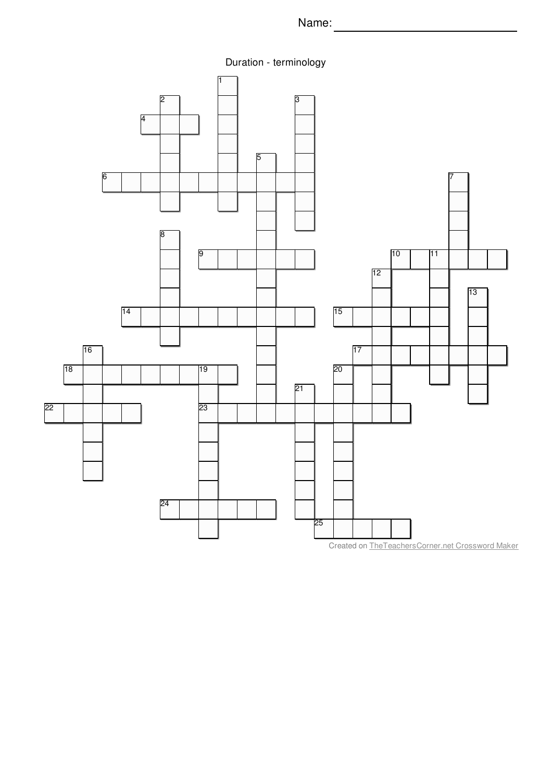Name: